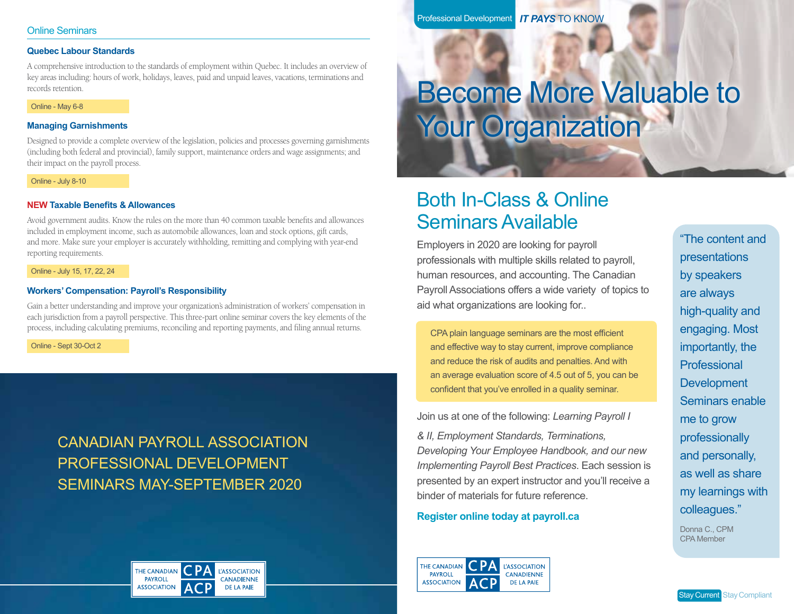# **Quebec Labour Standards**

A comprehensive introduction to the standards of employment within Quebec. It includes an overview of key areas including: hours of work, holidays, leaves, paid and unpaid leaves, vacations, terminations and records retention.

#### Online - May 6-8

# **Managing Garnishments**

Designed to provide a complete overview of the legislation, policies and processes governing garnishments (including both federal and provincial), family support, maintenance orders and wage assignments; and their impact on the payroll process.

### Online - July 8-10

# **NEW Taxable Benefits & Allowances**

Avoid government audits. Know the rules on the more than 40 common taxable benefits and allowances included in employment income, such as automobile allowances, loan and stock options, gift cards, and more. Make sure your employer is accurately withholding, remitting and complying with year-end reporting requirements.

### Online - July 15, 17, 22, 24

# **Workers' Compensation: Payroll's Responsibility**

Gain a better understanding and improve your organization's administration of workers' compensation in each jurisdiction from a payroll perspective. This three-part online seminar covers the key elements of the process, including calculating premiums, reconciling and reporting payments, and filing annual returns.

Online - Sept 30-Oct 2

# CANADIAN PAYROLL ASSOCIATION PROFESSIONAL DEVELOPMENT SEMINARS MAY-SEPTEMBER 2020



Professional Development *IT PAYS* TO KNOW

# Become More Valuable to **Your Organization**

# Both In-Class & Online Seminars Available

Employers in 2020 are looking for payroll professionals with multiple skills related to payroll, human resources, and accounting. The Canadian Payroll Associations offers a wide variety of topics to aid what organizations are looking for..

CPA plain language seminars are the most efficient and effective way to stay current, improve compliance and reduce the risk of audits and penalties. And with an average evaluation score of 4.5 out of 5, you can be confident that you've enrolled in a quality seminar.

Join us at one of the following: *Learning Payroll I*

*& II, Employment Standards, Terminations, Developing Your Employee Handbook, and our new Implementing Payroll Best Practices*. Each session is presented by an expert instructor and you'll receive a binder of materials for future reference.

# **Register online today at payroll.ca**



"The content and presentations by speakers are always high-quality and engaging. Most importantly, the Professional **Development** Seminars enable me to grow professionally and personally, as well as share my learnings with colleagues."

Donna C., CPM CPA Member